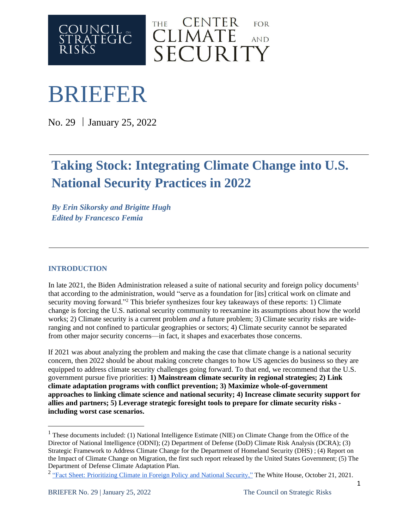



# BRIEFER

No. 29 | January 25, 2022

# **Taking Stock: Integrating Climate Change into U.S. National Security Practices in 2022**

*By Erin Sikorsky and Brigitte Hugh Edited by Francesco Femia*

# **INTRODUCTION**

In late 2021, the Biden Administration released a suite of national security and foreign policy documents<sup>1</sup> that according to the administration, would "serve as a foundation for [its] critical work on climate and security moving forward."<sup>2</sup> This briefer synthesizes four key takeaways of these reports: 1) Climate change is forcing the U.S. national security community to reexamine its assumptions about how the world works; 2) Climate security is a current problem *and* a future problem; 3) Climate security risks are wideranging and not confined to particular geographies or sectors; 4) Climate security cannot be separated from other major security concerns—in fact, it shapes and exacerbates those concerns.

If 2021 was about analyzing the problem and making the case that climate change is a national security concern, then 2022 should be about making concrete changes to how US agencies do business so they are equipped to address climate security challenges going forward. To that end, we recommend that the U.S. government pursue five priorities: **1) Mainstream climate security in regional strategies; 2) Link climate adaptation programs with conflict prevention; 3) Maximize whole-of-government approaches to linking climate science and national security; 4) Increase climate security support for allies and partners; 5) Leverage strategic foresight tools to prepare for climate security risks including worst case scenarios.**

<sup>&</sup>lt;sup>1</sup> These documents included: (1) National Intelligence Estimate (NIE) on Climate Change from the Office of the Director of National Intelligence (ODNI); (2) Department of Defense (DoD) Climate Risk Analysis (DCRA); (3) Strategic Framework to Address Climate Change for the Department of Homeland Security (DHS) ; (4) Report on the Impact of Climate Change on Migration, the first such report released by the United States Government; (5) The Department of Defense Climate Adaptation Plan.

<sup>&</sup>lt;sup>2</sup> "Fact Sheet: [Prioritizing](https://www.whitehouse.gov/briefing-room/statements-releases/2021/10/21/fact-sheet-prioritizing-climate-in-foreign-policy-and-national-security/) Climate in Foreign Policy and National Security," The White House, October 21, 2021.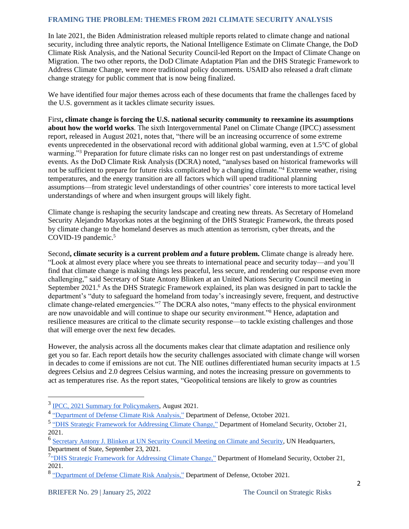#### **FRAMING THE PROBLEM: THEMES FROM 2021 CLIMATE SECURITY ANALYSIS**

In late 2021, the Biden Administration released multiple reports related to climate change and national security, including three analytic reports, the National Intelligence Estimate on Climate Change, the DoD Climate Risk Analysis, and the National Security Council-led Report on the Impact of Climate Change on Migration. The two other reports, the DoD Climate Adaptation Plan and the DHS Strategic Framework to Address Climate Change, were more traditional policy documents. USAID also released a draft climate change strategy for public comment that is now being finalized.

We have identified four major themes across each of these documents that frame the challenges faced by the U.S. government as it tackles climate security issues.

First**, climate change is forcing the U.S. national security community to reexamine its assumptions about how the world works**. The sixth Intergovernmental Panel on Climate Change (IPCC) assessment report, released in August 2021, notes that, "there will be an increasing occurrence of some extreme events unprecedented in the observational record with additional global warming, even at 1.5°C of global warming."<sup>3</sup> Preparation for future climate risks can no longer rest on past understandings of extreme events. As the DoD Climate Risk Analysis (DCRA) noted, "analyses based on historical frameworks will not be sufficient to prepare for future risks complicated by a changing climate."<sup>4</sup> Extreme weather, rising temperatures, and the energy transition are all factors which will upend traditional planning assumptions—from strategic level understandings of other countries' core interests to more tactical level understandings of where and when insurgent groups will likely fight.

Climate change is reshaping the security landscape and creating new threats. As Secretary of Homeland Security Alejandro Mayorkas notes at the beginning of the DHS Strategic Framework, the threats posed by climate change to the homeland deserves as much attention as terrorism, cyber threats, and the COVID-19 pandemic.<sup>5</sup>

Second**, climate security is a current problem** *and* **a future problem.** Climate change is already here. "Look at almost every place where you see threats to international peace and security today—and you'll find that climate change is making things less peaceful, less secure, and rendering our response even more challenging," said Secretary of State Antony Blinken at an United Nations Security Council meeting in September 2021.<sup>6</sup> As the DHS Strategic Framework explained, its plan was designed in part to tackle the department's "duty to safeguard the homeland from today's increasingly severe, frequent, and destructive climate change-related emergencies."<sup>7</sup> The DCRA also notes, "many effects to the physical environment are now unavoidable and will continue to shape our security environment."<sup>8</sup> Hence, adaptation and resilience measures are critical to the climate security response—to tackle existing challenges and those that will emerge over the next few decades.

However, the analysis across all the documents makes clear that climate adaptation and resilience only get you so far. Each report details how the security challenges associated with climate change will worsen in decades to come if emissions are not cut. The NIE outlines differentiated human security impacts at 1.5 degrees Celsius and 2.0 degrees Celsius warming, and notes the increasing pressure on governments to act as temperatures rise. As the report states, "Geopolitical tensions are likely to grow as countries

<sup>&</sup>lt;sup>3</sup> IPCC, 2021 Summary for [Policymakers,](https://www.ipcc.ch/report/ar6/wg1/) August 2021.

<sup>&</sup>lt;sup>4</sup> ["Department](https://www.ipcc.ch/report/ar6/wg1/) of Defense Climate Risk Analysis," Department of Defense, October 2021.

<sup>&</sup>lt;sup>5</sup> "DHS Strategic [Framework](https://www.dhs.gov/publication/dhs-strategic-framework-addressing-climate-change) for Addressing Climate Change," Department of Homeland Security, October 21, 2021.

<sup>&</sup>lt;sup>6</sup> [Secretary](https://www.state.gov/secretary-antony-j-blinken-at-un-security-council-meeting-on-climate-and-security/) Antony J. Blinken at UN Security Council Meeting on Climate and Security, UN Headquarters, Department of State, September 23, 2021.

<sup>&</sup>lt;sup>7</sup>"DHS Strategic [Framework](https://www.dhs.gov/publication/dhs-strategic-framework-addressing-climate-change) for Addressing Climate Change," Department of Homeland Security, October 21, 2021.

<sup>&</sup>lt;sup>8</sup> ["Department](https://www.ipcc.ch/report/ar6/wg1/) of Defense Climate Risk Analysis," Department of Defense, October 2021.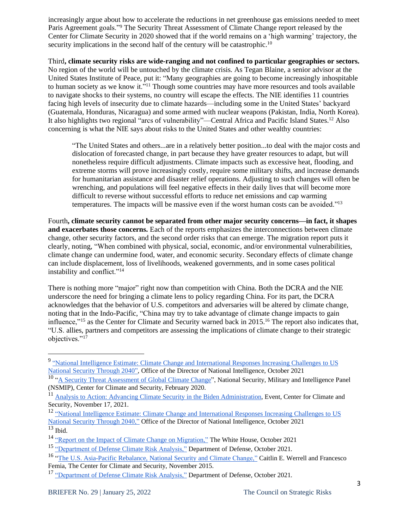increasingly argue about how to accelerate the reductions in net greenhouse gas emissions needed to meet Paris Agreement goals."<sup>9</sup> The Security Threat Assessment of Climate Change report released by the Center for Climate Security in 2020 showed that if the world remains on a 'high warming' trajectory, the security implications in the second half of the century will be catastrophic.<sup>10</sup>

Third**, climate security risks are wide-ranging and not confined to particular geographies or sectors.** No region of the world will be untouched by the climate crisis. As Tegan Blaine, a senior advisor at the United States Institute of Peace, put it: "Many geographies are going to become increasingly inhospitable to human society as we know it."<sup>11</sup> Though some countries may have more resources and tools available to navigate shocks to their systems, no country will escape the effects. The NIE identifies 11 countries facing high levels of insecurity due to climate hazards—including some in the United States' backyard (Guatemala, Honduras, Nicaragua) and some armed with nuclear weapons (Pakistan, India, North Korea). It also highlights two regional "arcs of vulnerability"—Central Africa and Pacific Island States.<sup>12</sup> Also concerning is what the NIE says about risks to the United States and other wealthy countries:

"The United States and others...are in a relatively better position...to deal with the major costs and dislocation of forecasted change, in part because they have greater resources to adapt, but will nonetheless require difficult adjustments. Climate impacts such as excessive heat, flooding, and extreme storms will prove increasingly costly, require some military shifts, and increase demands for humanitarian assistance and disaster relief operations. Adjusting to such changes will often be wrenching, and populations will feel negative effects in their daily lives that will become more difficult to reverse without successful efforts to reduce net emissions and cap warming temperatures. The impacts will be massive even if the worst human costs can be avoided."<sup>13</sup>

Fourth**, climate security cannot be separated from other major security concerns—in fact, it shapes and exacerbates those concerns.** Each of the reports emphasizes the interconnections between climate change, other security factors, and the second order risks that can emerge. The migration report puts it clearly, noting, "When combined with physical, social, economic, and/or environmental vulnerabilities, climate change can undermine food, water, and economic security. Secondary effects of climate change can include displacement, loss of livelihoods, weakened governments, and in some cases political instability and conflict."<sup>14</sup>

There is nothing more "major" right now than competition with China. Both the DCRA and the NIE underscore the need for bringing a climate lens to policy regarding China. For its part, the DCRA acknowledges that the behavior of U.S. competitors and adversaries will be altered by climate change, noting that in the Indo-Pacific, "China may try to take advantage of climate change impacts to gain influence,"<sup>15</sup> as the Center for Climate and Security warned back in 2015.<sup>16</sup> The report also indicates that, "U.S. allies, partners and competitors are assessing the implications of climate change to their strategic objectives."<sup>17</sup>

<sup>&</sup>lt;sup>9</sup> "National Intelligence Estimate: Climate Change and [International](https://www.dni.gov/files/ODNI/documents/assessments/NIE_Climate_Change_and_National_Security.pdf) Responses Increasing Challenges to US National Security [Through](https://www.dni.gov/files/ODNI/documents/assessments/NIE_Climate_Change_and_National_Security.pdf) 2040", Office of the Director of National Intelligence, October 2021

<sup>10</sup> "A Security Threat [Assessment](https://climateandsecurity.org/wp-content/uploads/2020/03/a-security-threat-assessment-of-climate-change.pdf) of Global Climate Change", National Security, Military and Intelligence Panel (NSMIP), Center for Climate and Security, February 2020.

<sup>&</sup>lt;sup>11</sup> Analysis to Action: Advancing Climate Security in the Biden [Administration,](https://climateandsecurity.org/2021/12/looking-to-2022-next-steps-for-us-climate-security-policy/) Event, Center for Climate and Security, November 17, 2021.

<sup>12</sup> "National Intelligence Estimate: Climate Change and [International](https://www.dni.gov/files/ODNI/documents/assessments/NIE_Climate_Change_and_National_Security.pdf) Responses Increasing Challenges to US National Security [Through](https://www.dni.gov/files/ODNI/documents/assessments/NIE_Climate_Change_and_National_Security.pdf) 2040," Office of the Director of National Intelligence, October 2021  $13$  Ibid.

<sup>14</sup> "Report on the Impact of Climate Change on [Migration,"](https://www.whitehouse.gov/wp-content/uploads/2021/10/Report-on-the-Impact-of-Climate-Change-on-Migration.pdf) The White House, October 2021

<sup>&</sup>lt;sup>15</sup> ["Department](https://www.ipcc.ch/report/ar6/wg1/) of Defense Climate Risk Analysis," Department of Defense, October 2021.

<sup>&</sup>lt;sup>16</sup> "The U.S. [Asia-Pacific](https://climateandsecurity.org/wp-content/uploads/2015/11/ccs_us_asia_pacific-rebalance_national-security-and-climate-change.pdf) Rebalance, National Security and Climate Change," Caitlin E. Werrell and Francesco Femia, The Center for Climate and Security, November 2015.

<sup>&</sup>lt;sup>17</sup> ["Department](https://www.ipcc.ch/report/ar6/wg1/) of Defense Climate Risk Analysis," Department of Defense, October 2021.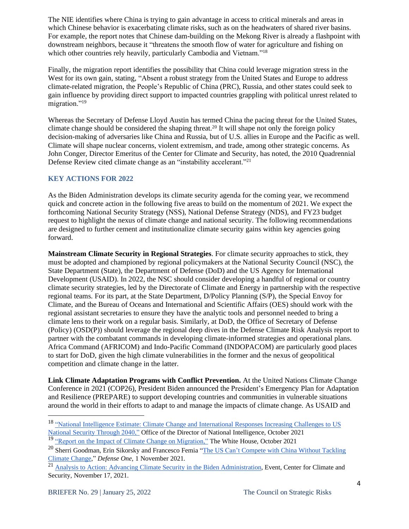The NIE identifies where China is trying to gain advantage in access to critical minerals and areas in which Chinese behavior is exacerbating climate risks, such as on the headwaters of shared river basins. For example, the report notes that Chinese dam-building on the Mekong River is already a flashpoint with downstream neighbors, because it "threatens the smooth flow of water for agriculture and fishing on which other countries rely heavily, particularly Cambodia and Vietnam."<sup>18</sup>

Finally, the migration report identifies the possibility that China could leverage migration stress in the West for its own gain, stating, "Absent a robust strategy from the United States and Europe to address climate-related migration, the People's Republic of China (PRC), Russia, and other states could seek to gain influence by providing direct support to impacted countries grappling with political unrest related to migration."<sup>19</sup>

Whereas the Secretary of Defense Lloyd Austin has termed China the pacing threat for the United States, climate change should be considered the shaping threat.<sup>20</sup> It will shape not only the foreign policy decision-making of adversaries like China and Russia, but of U.S. allies in Europe and the Pacific as well. Climate will shape nuclear concerns, violent extremism, and trade, among other strategic concerns. As John Conger, Director Emeritus of the Center for Climate and Security, has noted, the 2010 Quadrennial Defense Review cited climate change as an "instability accelerant."<sup>21</sup>

## **KEY ACTIONS FOR 2022**

As the Biden Administration develops its climate security agenda for the coming year, we recommend quick and concrete action in the following five areas to build on the momentum of 2021. We expect the forthcoming National Security Strategy (NSS), National Defense Strategy (NDS), and FY23 budget request to highlight the nexus of climate change and national security. The following recommendations are designed to further cement and institutionalize climate security gains within key agencies going forward.

**Mainstream Climate Security in Regional Strategies**. For climate security approaches to stick, they must be adopted and championed by regional policymakers at the National Security Council (NSC), the State Department (State), the Department of Defense (DoD) and the US Agency for International Development (USAID). In 2022, the NSC should consider developing a handful of regional or country climate security strategies, led by the Directorate of Climate and Energy in partnership with the respective regional teams. For its part, at the State Department, D/Policy Planning (S/P), the Special Envoy for Climate, and the Bureau of Oceans and International and Scientific Affairs (OES) should work with the regional assistant secretaries to ensure they have the analytic tools and personnel needed to bring a climate lens to their work on a regular basis. Similarly, at DoD, the Office of Secretary of Defense (Policy) (OSD(P)) should leverage the regional deep dives in the Defense Climate Risk Analysis report to partner with the combatant commands in developing climate-informed strategies and operational plans. Africa Command (AFRICOM) and Indo-Pacific Command (INDOPACOM) are particularly good places to start for DoD, given the high climate vulnerabilities in the former and the nexus of geopolitical competition and climate change in the latter.

**Link Climate Adaptation Programs with Conflict Prevention.** At the United Nations Climate Change Conference in 2021 (COP26), President Biden announced the President's Emergency Plan for Adaptation and Resilience (PREPARE) to support developing countries and communities in vulnerable situations around the world in their efforts to adapt to and manage the impacts of climate change. As USAID and

<sup>18</sup> "National Intelligence Estimate: Climate Change and [International](https://www.dni.gov/files/ODNI/documents/assessments/NIE_Climate_Change_and_National_Security.pdf) Responses Increasing Challenges to US National Security [Through](https://www.dni.gov/files/ODNI/documents/assessments/NIE_Climate_Change_and_National_Security.pdf) 2040," Office of the Director of National Intelligence, October 2021

<sup>&</sup>lt;sup>19</sup> "Report on the Impact of Climate Change on [Migration,"](https://www.whitehouse.gov/wp-content/uploads/2021/10/Report-on-the-Impact-of-Climate-Change-on-Migration.pdf) The White House, October 2021

<sup>&</sup>lt;sup>20</sup> Sherri Goodman, Erin Sikorsky and Francesco Femia "The US Can't [Compete](https://www.defenseone.com/ideas/2021/11/us-cant-compete-china-without-tackling-climate-change/186543/) with China Without Tackling Climate [Change,](https://www.defenseone.com/ideas/2021/11/us-cant-compete-china-without-tackling-climate-change/186543/)" *Defense One,* 1 November 2021.

<sup>21</sup> Analysis to Action: Advancing Climate Security in the Biden [Administration,](https://climateandsecurity.org/2021/12/looking-to-2022-next-steps-for-us-climate-security-policy/) Event, Center for Climate and Security, November 17, 2021.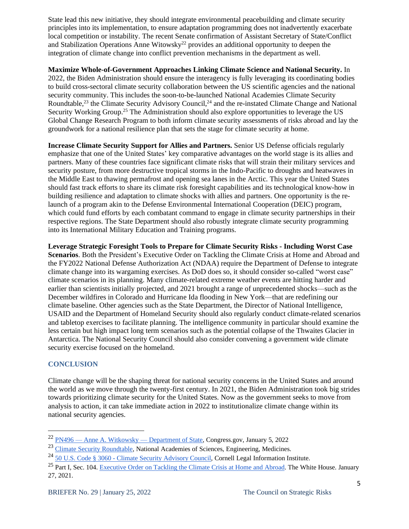State lead this new initiative, they should integrate environmental peacebuilding and climate security principles into its implementation, to ensure adaptation programming does not inadvertently exacerbate local competition or instability. The recent Senate confirmation of Assistant Secretary of State/Conflict and Stabilization Operations Anne Witowsky<sup>22</sup> provides an additional opportunity to deepen the integration of climate change into conflict prevention mechanisms in the department as well.

**Maximize Whole-of-Government Approaches Linking Climate Science and National Security.** In 2022, the Biden Administration should ensure the interagency is fully leveraging its coordinating bodies to build cross-sectoral climate security collaboration between the US scientific agencies and the national security community. This includes the soon-to-be-launched National Academies Climate Security Roundtable,<sup>23</sup> the Climate Security Advisory Council,<sup>24</sup> and the re-instated Climate Change and National Security Working Group.<sup>25</sup> The Administration should also explore opportunities to leverage the US Global Change Research Program to both inform climate security assessments of risks abroad and lay the groundwork for a national resilience plan that sets the stage for climate security at home.

**Increase Climate Security Support for Allies and Partners.** Senior US Defense officials regularly emphasize that one of the United States' key comparative advantages on the world stage is its allies and partners. Many of these countries face significant climate risks that will strain their military services and security posture, from more destructive tropical storms in the Indo-Pacific to droughts and heatwaves in the Middle East to thawing permafrost and opening sea lanes in the Arctic. This year the United States should fast track efforts to share its climate risk foresight capabilities and its technological know-how in building resilience and adaptation to climate shocks with allies and partners. One opportunity is the relaunch of a program akin to the Defense Environmental International Cooperation (DEIC) program, which could fund efforts by each combatant command to engage in climate security partnerships in their respective regions. The State Department should also robustly integrate climate security programming into its International Military Education and Training programs.

**Leverage Strategic Foresight Tools to Prepare for Climate Security Risks - Including Worst Case Scenarios**. Both the President's Executive Order on Tackling the Climate Crisis at Home and Abroad and the FY2022 National Defense Authorization Act (NDAA) require the Department of Defense to integrate climate change into its wargaming exercises. As DoD does so, it should consider so-called "worst case" climate scenarios in its planning. Many climate-related extreme weather events are hitting harder and earlier than scientists initially projected, and 2021 brought a range of unprecedented shocks—such as the December wildfires in Colorado and Hurricane Ida flooding in New York—that are redefining our climate baseline. Other agencies such as the State Department, the Director of National Intelligence, USAID and the Department of Homeland Security should also regularly conduct climate-related scenarios and tabletop exercises to facilitate planning. The intelligence community in particular should examine the less certain but high impact long term scenarios such as the potential collapse of the Thwaites Glacier in Antarctica. The National Security Council should also consider convening a government wide climate security exercise focused on the homeland.

## **CONCLUSION**

Climate change will be the shaping threat for national security concerns in the United States and around the world as we move through the twenty-first century. In 2021, the Biden Administration took big strides towards prioritizing climate security for the United States. Now as the government seeks to move from analysis to action, it can take immediate action in 2022 to institutionalize climate change within its national security agencies.

<sup>22</sup> PN496 — Anne A. Witkowsky — [Department](https://www.congress.gov/nomination/117th-congress/496) of State, Congress.gov, January 5, 2022

<sup>&</sup>lt;sup>23</sup> Climate Security [Roundtable,](https://www.nationalacademies.org/our-work/climate-security-roundtable#sl-three-columns-b6a5b647-e3c0-42dc-a01a-934489d7deb8) National Academies of Sciences, Engineering, Medicines.

<sup>24</sup> 50 U.S. Code § 3060 - Climate Security [Advisory](https://www.law.cornell.edu/uscode/text/50/3060) Council, Cornell Legal Information Institute.

<sup>&</sup>lt;sup>25</sup> Part I, Sec. 104. [Executive](https://www.whitehouse.gov/briefing-room/presidential-actions/2021/01/27/executive-order-on-tackling-the-climate-crisis-at-home-and-abroad/) Order on Tackling the Climate Crisis at Home and Abroad. The White House. January 27, 2021.